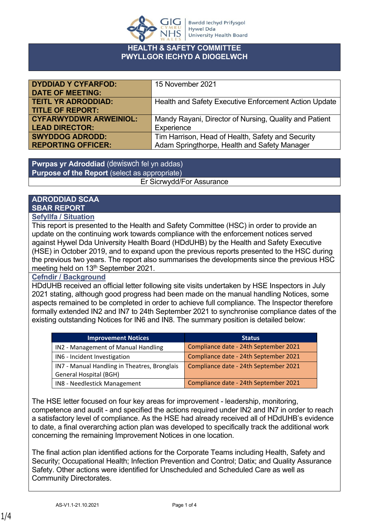

#### **HEALTH & SAFETY COMMITTEE PWYLLGOR IECHYD A DIOGELWCH**

| <b>DYDDIAD Y CYFARFOD:</b><br><b>DATE OF MEETING:</b> | 15 November 2021                                       |
|-------------------------------------------------------|--------------------------------------------------------|
| <b>TEITL YR ADRODDIAD:</b>                            | Health and Safety Executive Enforcement Action Update  |
| <b>TITLE OF REPORT:</b>                               |                                                        |
| <b>CYFARWYDDWR ARWEINIOL:</b>                         | Mandy Rayani, Director of Nursing, Quality and Patient |
| <b>LEAD DIRECTOR:</b>                                 | Experience                                             |
| <b>SWYDDOG ADRODD:</b>                                | Tim Harrison, Head of Health, Safety and Security      |
| <b>REPORTING OFFICER:</b>                             | Adam Springthorpe, Health and Safety Manager           |

**Pwrpas yr Adroddiad** (dewiswch fel yn addas) **Purpose of the Report** (select as appropriate) Er Sicrwydd/For Assurance

# **ADRODDIAD SCAA SBAR REPORT**

**Sefyllfa / Situation** 

This report is presented to the Health and Safety Committee (HSC) in order to provide an update on the continuing work towards compliance with the enforcement notices served against Hywel Dda University Health Board (HDdUHB) by the Health and Safety Executive (HSE) in October 2019, and to expand upon the previous reports presented to the HSC during the previous two years. The report also summarises the developments since the previous HSC meeting held on 13th September 2021.

### **Cefndir / Background**

HDdUHB received an official letter following site visits undertaken by HSE Inspectors in July 2021 stating, although good progress had been made on the manual handling Notices, some aspects remained to be completed in order to achieve full compliance. The Inspector therefore formally extended IN2 and IN7 to 24th September 2021 to synchronise compliance dates of the existing outstanding Notices for IN6 and IN8. The summary position is detailed below:

| <b>Improvement Notices</b>                   | <b>Status</b>                         |
|----------------------------------------------|---------------------------------------|
| IN2 - Management of Manual Handling          | Compliance date - 24th September 2021 |
| IN6 - Incident Investigation                 | Compliance date - 24th September 2021 |
| IN7 - Manual Handling in Theatres, Bronglais | Compliance date - 24th September 2021 |
| <b>General Hospital (BGH)</b>                |                                       |
| IN8 - Needlestick Management                 | Compliance date - 24th September 2021 |

The HSE letter focused on four key areas for improvement - leadership, monitoring, competence and audit - and specified the actions required under IN2 and IN7 in order to reach a satisfactory level of compliance. As the HSE had already received all of HDdUHB's evidence to date, a final overarching action plan was developed to specifically track the additional work concerning the remaining Improvement Notices in one location.

The final action plan identified actions for the Corporate Teams including Health, Safety and Security; Occupational Health; Infection Prevention and Control; Datix; and Quality Assurance Safety. Other actions were identified for Unscheduled and Scheduled Care as well as Community Directorates.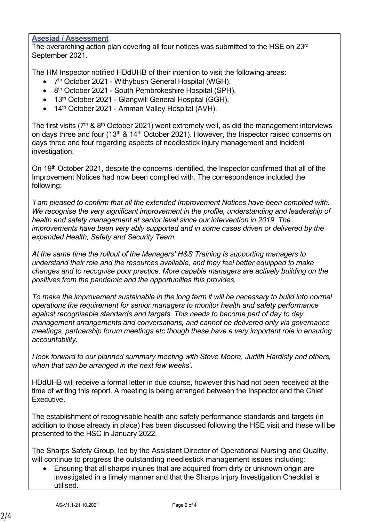## **Asesiad / Assessment**

The overarching action plan covering all four notices was submitted to the HSE on 23rd September 2021.

The HM Inspector notified HDdUHB of their intention to visit the following areas:

- 7<sup>th</sup> October 2021 Withybush General Hospital (WGH).
- 8<sup>th</sup> October 2021 South Pembrokeshire Hospital (SPH).
- 13<sup>th</sup> October 2021 Glangwili General Hospital (GGH).
- 14<sup>th</sup> October 2021 Amman Valley Hospital (AVH).

The first visits ( $7<sup>th</sup>$  &  $8<sup>th</sup>$  October 2021) went extremely well, as did the management interviews on days three and four (13<sup>th</sup> & 14<sup>th</sup> October 2021). However, the Inspector raised concerns on days three and four regarding aspects of needlestick injury management and incident investigation.

On 19<sup>th</sup> October 2021, despite the concerns identified, the Inspector confirmed that all of the Improvement Notices had now been complied with. The correspondence included the following:

*'I am pleased to confirm that all the extended Improvement Notices have been complied with. We recognise the very significant improvement in the profile, understanding and leadership of health and safety management at senior level since our intervention in 2019. The improvements have been very ably supported and in some cases driven or delivered by the expanded Health, Safety and Security Team.*

*At the same time the rollout of the Managers' H&S Training is supporting managers to understand their role and the resources available, and they feel better equipped to make changes and to recognise poor practice. More capable managers are actively building on the positives from the pandemic and the opportunities this provides.*

*To make the improvement sustainable in the long term it will be necessary to build into normal operations the requirement for senior managers to monitor health and safety performance against recognisable standards and targets. This needs to become part of day to day management arrangements and conversations, and cannot be delivered only via governance meetings, partnership forum meetings etc though these have a very important role in ensuring accountability.*

*I look forward to our planned summary meeting with Steve Moore, Judith Hardisty and others, when that can be arranged in the next few weeks'.*

HDdUHB will receive a formal letter in due course, however this had not been received at the time of writing this report. A meeting is being arranged between the Inspector and the Chief **Executive** 

The establishment of recognisable health and safety performance standards and targets (in addition to those already in place) has been discussed following the HSE visit and these will be presented to the HSC in January 2022.

The Sharps Safety Group, led by the Assistant Director of Operational Nursing and Quality, will continue to progress the outstanding needlestick management issues including:

 Ensuring that all sharps injuries that are acquired from dirty or unknown origin are investigated in a timely manner and that the Sharps Injury Investigation Checklist is utilised.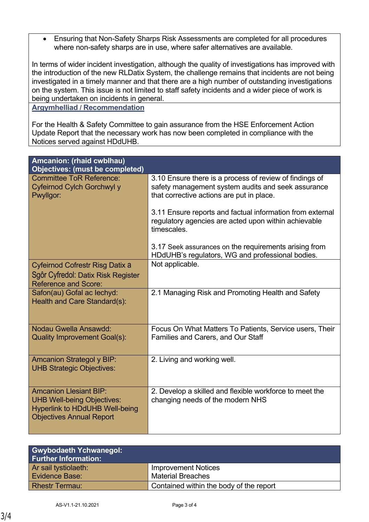Ensuring that Non-Safety Sharps Risk Assessments are completed for all procedures where non-safety sharps are in use, where safer alternatives are available.

In terms of wider incident investigation, although the quality of investigations has improved with the introduction of the new RLDatix System, the challenge remains that incidents are not being investigated in a timely manner and that there are a high number of outstanding investigations on the system. This issue is not limited to staff safety incidents and a wider piece of work is being undertaken on incidents in general.

#### **Argymhelliad / Recommendation**

For the Health & Safety Committee to gain assurance from the HSE Enforcement Action Update Report that the necessary work has now been completed in compliance with the Notices served against HDdUHB.

| Amcanion: (rhaid cwblhau)<br><b>Objectives: (must be completed)</b>                                                                            |                                                                                                                                                            |  |
|------------------------------------------------------------------------------------------------------------------------------------------------|------------------------------------------------------------------------------------------------------------------------------------------------------------|--|
| <b>Committee ToR Reference:</b><br>Cyfeirnod Cylch Gorchwyl y<br>Pwyllgor:                                                                     | 3.10 Ensure there is a process of review of findings of<br>safety management system audits and seek assurance<br>that corrective actions are put in place. |  |
|                                                                                                                                                | 3.11 Ensure reports and factual information from external<br>regulatory agencies are acted upon within achievable<br>timescales.                           |  |
|                                                                                                                                                | 3.17 Seek assurances on the requirements arising from<br>HDdUHB's regulators, WG and professional bodies.                                                  |  |
| Cyfeirnod Cofrestr Risg Datix a<br>Sgôr Cyfredol: Datix Risk Register<br><b>Reference and Score:</b>                                           | Not applicable.                                                                                                                                            |  |
| Safon(au) Gofal ac lechyd:<br>Health and Care Standard(s):                                                                                     | 2.1 Managing Risk and Promoting Health and Safety                                                                                                          |  |
| Nodau Gwella Ansawdd:<br><b>Quality Improvement Goal(s):</b>                                                                                   | Focus On What Matters To Patients, Service users, Their<br><b>Families and Carers, and Our Staff</b>                                                       |  |
| <b>Amcanion Strategol y BIP:</b><br><b>UHB Strategic Objectives:</b>                                                                           | 2. Living and working well.                                                                                                                                |  |
| <b>Amcanion Llesiant BIP:</b><br><b>UHB Well-being Objectives:</b><br><b>Hyperlink to HDdUHB Well-being</b><br><b>Objectives Annual Report</b> | 2. Develop a skilled and flexible workforce to meet the<br>changing needs of the modern NHS                                                                |  |

| <b>Gwybodaeth Ychwanegol:</b><br><b>Further Information:</b> |                                         |
|--------------------------------------------------------------|-----------------------------------------|
| Ar sail tystiolaeth:                                         | <b>Improvement Notices</b>              |
| Evidence Base:                                               | <b>Material Breaches</b>                |
| <b>Rhestr Termau:</b>                                        | Contained within the body of the report |